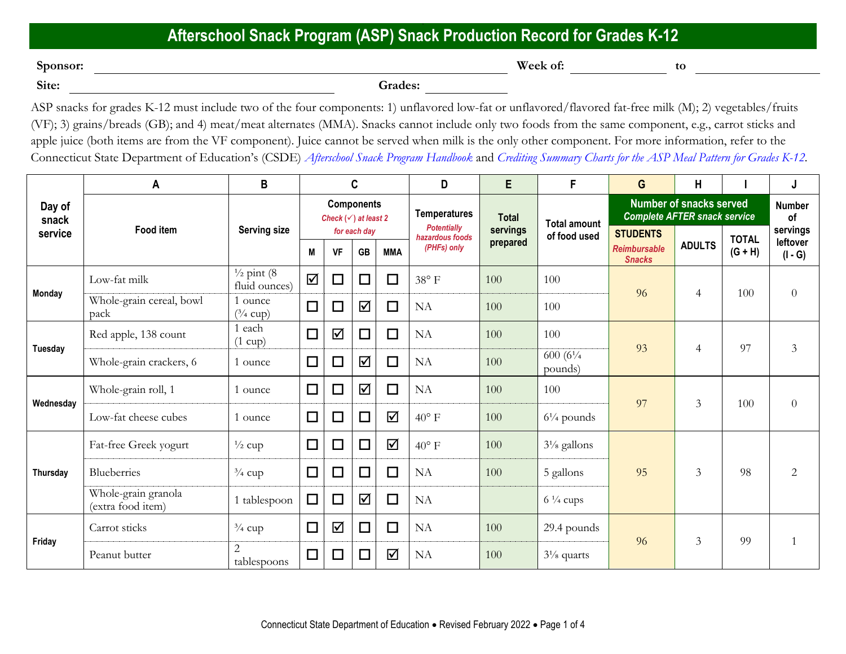## **Afterschool Snack Program (ASP) Snack Production Record for Grades K-12**

**Sponsor: Week of: to** <u>**to to to ti**<br>Site:</u>

Site: <u>Consequence</u> Consequence Consequence Consequence Consequence Consequence Consequence Consequence Consequence Consequence Consequence Consequence Consequence Consequence Consequence Consequence Consequence Consequenc

ASP snacks for grades K-12 must include two of the four components: 1) unflavored low-fat or unflavored/flavored fat-free milk (M); 2) vegetables/fruits (VF); 3) grains/breads (GB); and 4) meat/meat alternates (MMA). Snacks cannot include only two foods from the same component, e.g., carrot sticks and apple juice (both items are from the VF component). Juice cannot be served when milk is the only other component. For more information, refer to the Connecticut State Department of Education's (CSDE) *[Afterschool Snack Program Handbook](https://portal.ct.gov/-/media/SDE/Nutrition/ASP/ASP_Handbook.pdf)* and *[Crediting Summary Charts for the ASP Meal Pattern for Grades K-12.](https://portal.ct.gov/-/media/SDE/Nutrition/ASP/Crediting_Summary_Charts_ASP_Grades_K-12.pdf)*

|                            | A                                        | B                                       | C                                                    |           |                           |            | D                                                    | E                    | F                               | G                                                                     | Н              |                           | J                                 |
|----------------------------|------------------------------------------|-----------------------------------------|------------------------------------------------------|-----------|---------------------------|------------|------------------------------------------------------|----------------------|---------------------------------|-----------------------------------------------------------------------|----------------|---------------------------|-----------------------------------|
| Day of<br>snack<br>service | <b>Food item</b>                         | <b>Serving size</b>                     | <b>Components</b><br>Check $(\checkmark)$ at least 2 |           |                           |            | <b>Temperatures</b>                                  | <b>Total</b>         | <b>Total amount</b>             | <b>Number of snacks served</b><br><b>Complete AFTER snack service</b> |                |                           | <b>Number</b><br>of               |
|                            |                                          |                                         | M                                                    | <b>VF</b> | for each day<br><b>GB</b> | <b>MMA</b> | <b>Potentially</b><br>hazardous foods<br>(PHFs) only | servings<br>prepared | of food used                    | <b>STUDENTS</b><br><b>Reimbursable</b><br><b>Snacks</b>               | <b>ADULTS</b>  | <b>TOTAL</b><br>$(G + H)$ | servings<br>leftover<br>$(I - G)$ |
| <b>Monday</b>              | Low-fat milk                             | $\frac{1}{2}$ pint (8)<br>fluid ounces) | ☑                                                    | $\Box$    | $\Box$                    | $\Box$     | $38^{\circ}$ F                                       | 100                  | 100                             | 96                                                                    | $\overline{4}$ | 100                       | $\overline{0}$                    |
|                            | Whole-grain cereal, bowl<br>pack         | 1 ounce<br>$(^3/4$ cup)                 | $\Box$                                               | $\Box$    | $\blacktriangledown$      | $\Box$     | NA                                                   | 100                  | 100                             |                                                                       |                |                           |                                   |
| Tuesday                    | Red apple, 138 count                     | 1 each<br>$(1 \text{ cup})$             | $\Box$                                               | ☑         | □                         | $\Box$     | NA                                                   | 100                  | 100                             | 93                                                                    | $\overline{4}$ | 97                        | 3                                 |
|                            | Whole-grain crackers, 6                  | 1 ounce                                 | $\Box$                                               | $\Box$    | ☑                         | $\Box$     | NA                                                   | 100                  | 600 $(6\frac{1}{4})$<br>pounds) |                                                                       |                |                           |                                   |
| Wednesday                  | Whole-grain roll, 1                      | 1 ounce                                 | $\Box$                                               | $\Box$    | $\blacktriangledown$      | $\Box$     | NA                                                   | 100                  | 100                             | 97                                                                    | 3              | 100                       | $\overline{0}$                    |
|                            | Low-fat cheese cubes                     | 1 ounce                                 | $\Box$                                               | $\Box$    | $\Box$                    | $\Delta$   | $40^{\circ}$ F                                       | 100                  | $6\frac{1}{4}$ pounds           |                                                                       |                |                           |                                   |
| Thursday                   | Fat-free Greek yogurt                    | $\frac{1}{2}$ cup                       | $\Box$                                               | $\Box$    | $\Box$                    | $\Delta$   | $40^{\circ}$ F                                       | 100                  | $3\frac{1}{8}$ gallons          | 95                                                                    | 3              | 98                        | $\overline{2}$                    |
|                            | Blueberries                              | $\frac{3}{4}$ cup                       | $\Box$                                               | $\Box$    | $\Box$                    | $\Box$     | NA                                                   | 100                  | 5 gallons                       |                                                                       |                |                           |                                   |
|                            | Whole-grain granola<br>(extra food item) | 1 tablespoon                            | $\Box$                                               | $\Box$    | ☑                         | $\Box$     | NA                                                   |                      | $6\frac{1}{4}$ cups             |                                                                       |                |                           |                                   |
| Friday                     | Carrot sticks                            | $\frac{3}{4}$ cup                       | $\Box$                                               | ☑         | $\Box$                    | $\Box$     | NA                                                   | 100                  | 29.4 pounds                     | 96                                                                    | 3              | 99                        | $\mathbf{1}$                      |
|                            | Peanut butter                            | $\mathbf{2}$<br>tablespoons             | $\Box$                                               | $\Box$    | $\Box$                    | $\Delta$   | NA                                                   | 100                  | $3\frac{1}{8}$ quarts           |                                                                       |                |                           |                                   |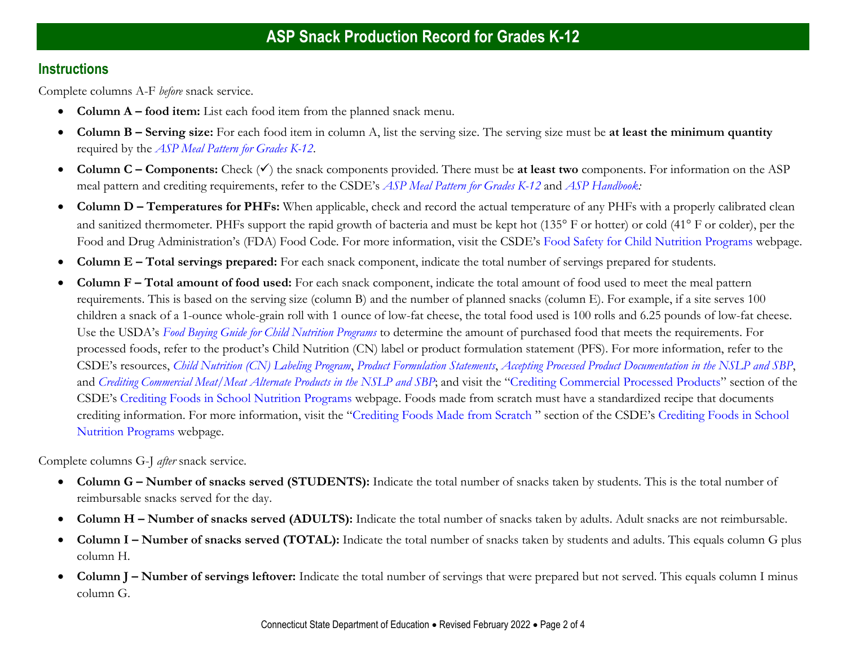## **Instructions**

Complete columns A-F *before* snack service.

- **Column A – food item:** List each food item from the planned snack menu.
- **Column B – Serving size:** For each food item in column A, list the serving size. The serving size must be **at least the minimum quantity**  required by the *[ASP Meal Pattern for Grades K-12](https://portal.ct.gov/-/media/SDE/Nutrition/ASP/Meal_Pattern_ASP_grades_K-12.pdf)*.
- **Column C – Components:** Check (✓) the snack components provided. There must be **at least two** components. For information on the ASP meal pattern and crediting requirements, refer to the CSDE's *[ASP Meal Pattern for Grades K-12](https://portal.ct.gov/-/media/SDE/Nutrition/ASP/Meal_Pattern_ASP_grades_K-12.pdf)* and *[ASP Handbook:](https://portal.ct.gov/-/media/SDE/Nutrition/ASP/ASP_Handbook.pdf)*
- **Column D – Temperatures for PHFs:** When applicable, check and record the actual temperature of any PHFs with a properly calibrated clean and sanitized thermometer. PHFs support the rapid growth of bacteria and must be kept hot (135° F or hotter) or cold (41° F or colder), per the Food and Drug Administration's (FDA) Food Code. For more information, visit the CSDE's [Food Safety for Child Nutrition Programs](https://portal.ct.gov/SDE/Nutrition/Food-Safety-for-Child-Nutrition-Programs) webpage.
- **Column E – Total servings prepared:** For each snack component, indicate the total number of servings prepared for students.
- **Column F – Total amount of food used:** For each snack component, indicate the total amount of food used to meet the meal pattern requirements. This is based on the serving size (column B) and the number of planned snacks (column E). For example, if a site serves 100 children a snack of a 1-ounce whole-grain roll with 1 ounce of low-fat cheese, the total food used is 100 rolls and 6.25 pounds of low-fat cheese. Use the USDA's *[Food Buying Guide for Child Nutrition Programs](https://www.fns.usda.gov/tn/food-buying-guide-for-child-nutrition-programs)* to determine the amount of purchased food that meets the requirements. For processed foods, refer to the product's Child Nutrition (CN) label or product formulation statement (PFS). For more information, refer to the CSDE's resources, *[Child Nutrition \(CN\) Labeling Program](https://portal.ct.gov/-/media/SDE/Nutrition/NSLP/Crediting/CN_Labeling_Program.pdf)*, *[Product Formulation Statements](https://portal.ct.gov/-/media/SDE/Nutrition/NSLP/Crediting/PFS.pdf)*, *[Accepting Processed Product Documentation in the NSLP and SBP](https://portal.ct.gov/-/media/SDE/Nutrition/NSLP/Crediting/Accepting_Procssed_Product_Documentation_SNP.pdf)*, and *[Crediting Commercial Meat/Meat Alternate Products in the NSLP and SBP](https://portal.ct.gov/-/media/SDE/Nutrition/NSLP/Crediting/CreditCommercialMMASNP.pdf)*; and visit the "[Crediting Commercial Processed Products](https://portal.ct.gov/SDE/Nutrition/Crediting-Foods-in-School-Nutrition-Programs#CommercialProducts)" section of the CSDE's [Crediting Foods in School Nutrition Programs](https://portal.ct.gov/SDE/Nutrition/Crediting-Foods-in-School-Nutrition-Programs) webpage. Foods made from scratch must have a standardized recipe that documents crediting information. For more information, visit the "[Crediting Foods Made from Scratch](https://portal.ct.gov/SDE/Nutrition/Crediting-Foods-in-School-Nutrition-Programs#ScratchFoods) " section of the CSDE's [Crediting Foods in School](https://portal.ct.gov/SDE/Nutrition/Crediting-Foods-in-School-Nutrition-Programs)  [Nutrition Programs](https://portal.ct.gov/SDE/Nutrition/Crediting-Foods-in-School-Nutrition-Programs) webpage.

Complete columns G-J *after* snack service.

- **Column G – Number of snacks served (STUDENTS):** Indicate the total number of snacks taken by students. This is the total number of reimbursable snacks served for the day.
- **Column H – Number of snacks served (ADULTS):** Indicate the total number of snacks taken by adults. Adult snacks are not reimbursable.
- Column I Number of snacks served (TOTAL): Indicate the total number of snacks taken by students and adults. This equals column G plus column H.
- **Column J Number of servings leftover:** Indicate the total number of servings that were prepared but not served. This equals column I minus column G.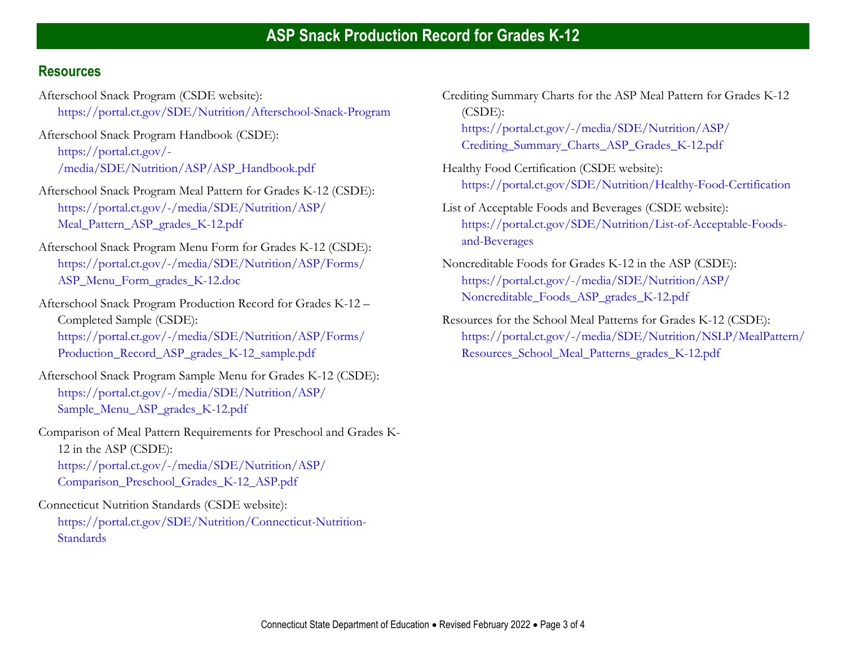## **Resources**

- Afterschool Snack Program (CSDE website): [https://portal.ct.gov/SDE/Nutrition/Afterschool-Snack-Program](http://portal.ct.gov/SDE/Nutrition/Afterschool-Snack-Program)
- Afterschool Snack Program Handbook (CSDE): [https://portal.ct.gov/-](https://portal.ct.gov/-/media/SDE/Nutrition/ASP/ASP_Handbook.pdf) [/media/SDE/Nutrition/ASP/ASP\\_Handbook.pdf](https://portal.ct.gov/-/media/SDE/Nutrition/ASP/ASP_Handbook.pdf)
- Afterschool Snack Program Meal Pattern for Grades K-12 (CSDE): [https://portal.ct.gov/-/media/SDE/Nutrition/ASP/](https://portal.ct.gov/-/media/SDE/Nutrition/ASP/‌Meal_Pattern_ASP_grades_K-12.pdf) [Meal\\_Pattern\\_ASP\\_grades\\_K-12.pdf](https://portal.ct.gov/-/media/SDE/Nutrition/ASP/‌Meal_Pattern_ASP_grades_K-12.pdf)
- Afterschool Snack Program Menu Form for Grades K-12 (CSDE): [https://portal.ct.gov/-/media/SDE/Nutrition/ASP/Forms/](https://portal.ct.gov/-/media/SDE/Nutrition/ASP/Forms/ASPMenuForm_gradesK-12.doc) [ASP\\_Menu\\_Form\\_grades\\_K-12.doc](https://portal.ct.gov/-/media/SDE/Nutrition/ASP/Forms/ASPMenuForm_gradesK-12.doc)
- Afterschool Snack Program Production Record for Grades K-12 Completed Sample (CSDE): [https://portal.ct.gov/-/media/SDE/Nutrition/ASP/Forms/](https://portal.ct.gov/-/media/SDE/Nutrition/ASP/Forms/Production_Record_ASP_grades_K-12_sample.pdf) [Production\\_Record\\_ASP\\_grades\\_K-12\\_sample.pdf](https://portal.ct.gov/-/media/SDE/Nutrition/ASP/Forms/Production_Record_ASP_grades_K-12_sample.pdf)
- Afterschool Snack Program Sample Menu for Grades K-12 (CSDE): [https://portal.ct.gov/-/media/SDE/Nutrition/ASP/](https://portal.ct.gov/-/media/SDE/Nutrition/ASP/Sample_Menu_ASP_grades_K-12.pdf) [Sample\\_Menu\\_ASP\\_grades\\_K-12.pdf](https://portal.ct.gov/-/media/SDE/Nutrition/ASP/Sample_Menu_ASP_grades_K-12.pdf)
- Comparison of Meal Pattern Requirements for Preschool and Grades K-12 in the ASP (CSDE): [https://portal.ct.gov/-/media/SDE/Nutrition/ASP/](https://portal.ct.gov/-/media/SDE/Nutrition/ASP/Comparison_Preschool_Grades_K-12_ASP.pdf) [Comparison\\_Preschool\\_Grades\\_K-12\\_ASP.pdf](https://portal.ct.gov/-/media/SDE/Nutrition/ASP/Comparison_Preschool_Grades_K-12_ASP.pdf)

Connecticut Nutrition Standards (CSDE website): [https://portal.ct.gov/SDE/Nutrition/Connecticut-Nutrition-](http://portal.ct.gov/SDE/Nutrition/Connecticut-Nutrition-Standards)**[Standards](http://portal.ct.gov/SDE/Nutrition/Connecticut-Nutrition-Standards)** 

Crediting Summary Charts for the ASP Meal Pattern for Grades K-12 (CSDE): [https://portal.ct.gov/-/media/SDE/Nutrition/ASP/](https://portal.ct.gov/-/media/SDE/Nutrition/ASP/Crediting_Summary_Charts_ASP_Grades_K-12.pdf) [Crediting\\_Summary\\_Charts\\_ASP\\_Grades\\_K-12.pdf](https://portal.ct.gov/-/media/SDE/Nutrition/ASP/Crediting_Summary_Charts_ASP_Grades_K-12.pdf)

- Healthy Food Certification (CSDE website): [https://portal.ct.gov/SDE/Nutrition/Healthy-Food-Certification](http://portal.ct.gov/SDE/Nutrition/Healthy-Food-Certification)
- List of Acceptable Foods and Beverages (CSDE website): [https://portal.ct.gov/SDE/Nutrition/List-of-Acceptable-Foods](http://portal.ct.gov/SDE/Nutrition/List-of-Acceptable-Foods-and-Beverages)[and-Beverages](http://portal.ct.gov/SDE/Nutrition/List-of-Acceptable-Foods-and-Beverages)
- Noncreditable Foods for Grades K-12 in the ASP (CSDE): [https://portal.ct.gov/-/media/SDE/Nutrition/ASP/](https://portal.ct.gov/-/media/SDE/Nutrition/ASP/Noncreditable_Foods_ASP_grades_K-12.pdf) [Noncreditable\\_Foods\\_ASP\\_grades\\_K-12.pdf](https://portal.ct.gov/-/media/SDE/Nutrition/ASP/Noncreditable_Foods_ASP_grades_K-12.pdf)
- Resources for the School Meal Patterns for Grades K-12 (CSDE): [https://portal.ct.gov/-/media/SDE/Nutrition/NSLP/MealPattern/](https://portal.ct.gov/-/media/SDE/Nutrition/NSLP/MealPattern/Resources_School_Meal_Patterns_grades_K-12.pdf) [Resources\\_School\\_Meal\\_Patterns\\_grades\\_K-12.pdf](https://portal.ct.gov/-/media/SDE/Nutrition/NSLP/MealPattern/Resources_School_Meal_Patterns_grades_K-12.pdf)